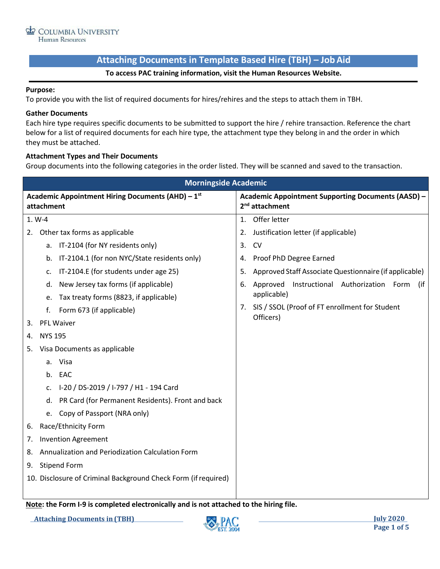# **Attaching Documents in Template Based Hire (TBH) – JobAid**

## **To access PAC training information, visit the Human Resources Website.**

#### **Purpose:**

To provide you with the list of required documents for hires/rehires and the steps to attach them in TBH.

#### **Gather Documents**

Each hire type requires specific documents to be submitted to support the hire / rehire transaction. Reference the chart below for a list of required documents for each hire type, the attachment type they belong in and the order in which they must be attached.

### **Attachment Types and Their Documents**

Group documents into the following categories in the order listed. They will be scanned and saved to the transaction.

| <b>Morningside Academic</b>                                                                    |                                                              |  |  |  |  |  |  |  |
|------------------------------------------------------------------------------------------------|--------------------------------------------------------------|--|--|--|--|--|--|--|
| Academic Appointment Hiring Documents (AHD) - 1st                                              | <b>Academic Appointment Supporting Documents (AASD) -</b>    |  |  |  |  |  |  |  |
| attachment                                                                                     | 2 <sup>nd</sup> attachment                                   |  |  |  |  |  |  |  |
| 1. W-4                                                                                         | Offer letter<br>1.                                           |  |  |  |  |  |  |  |
| Other tax forms as applicable<br>2.                                                            | Justification letter (if applicable)<br>2.                   |  |  |  |  |  |  |  |
| IT-2104 (for NY residents only)<br>a.                                                          | 3.<br><b>CV</b>                                              |  |  |  |  |  |  |  |
| IT-2104.1 (for non NYC/State residents only)<br>b.                                             | Proof PhD Degree Earned<br>4.                                |  |  |  |  |  |  |  |
| IT-2104.E (for students under age 25)<br>c.                                                    | Approved Staff Associate Questionnaire (if applicable)<br>5. |  |  |  |  |  |  |  |
| New Jersey tax forms (if applicable)<br>d.                                                     | Instructional Authorization Form<br>Approved<br>(if<br>6.    |  |  |  |  |  |  |  |
| Tax treaty forms (8823, if applicable)<br>e.                                                   | applicable)                                                  |  |  |  |  |  |  |  |
| f.<br>Form 673 (if applicable)                                                                 | 7. SIS / SSOL (Proof of FT enrollment for Student            |  |  |  |  |  |  |  |
| PFL Waiver<br>3.                                                                               | Officers)                                                    |  |  |  |  |  |  |  |
| <b>NYS 195</b><br>4.                                                                           |                                                              |  |  |  |  |  |  |  |
| Visa Documents as applicable<br>5.                                                             |                                                              |  |  |  |  |  |  |  |
| Visa<br>a.                                                                                     |                                                              |  |  |  |  |  |  |  |
| EAC<br>b <sub>1</sub>                                                                          |                                                              |  |  |  |  |  |  |  |
| I-20 / DS-2019 / I-797 / H1 - 194 Card<br>c.                                                   |                                                              |  |  |  |  |  |  |  |
| PR Card (for Permanent Residents). Front and back<br>d.                                        |                                                              |  |  |  |  |  |  |  |
| Copy of Passport (NRA only)<br>e.                                                              |                                                              |  |  |  |  |  |  |  |
| Race/Ethnicity Form<br>6.                                                                      |                                                              |  |  |  |  |  |  |  |
| <b>Invention Agreement</b><br>7.                                                               |                                                              |  |  |  |  |  |  |  |
| Annualization and Periodization Calculation Form<br>8.                                         |                                                              |  |  |  |  |  |  |  |
| <b>Stipend Form</b><br>9.                                                                      |                                                              |  |  |  |  |  |  |  |
| 10. Disclosure of Criminal Background Check Form (if required)                                 |                                                              |  |  |  |  |  |  |  |
|                                                                                                |                                                              |  |  |  |  |  |  |  |
| والمتلا المستمرين والمستنقل والمستقصات المستقصا المتم<br>$M = 1$ , $M = 1$ , $M = 1$ , $M = 1$ | والالتفاء والمتلاط والمناسبة والمسترادية                     |  |  |  |  |  |  |  |

**Note: the Form I-9 is completed electronically and is not attached to the hiring file.**

**Attaching Documents in (TBH) July 2020**

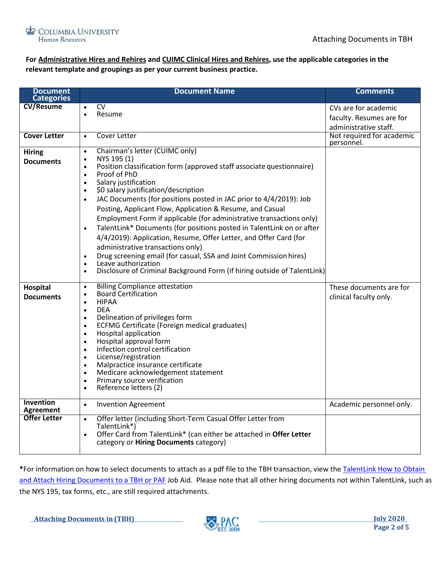

# **For Administrative Hires and Rehires and CUIMC Clinical Hires and Rehires, use the applicable categories in the relevant template and groupings as per your current business practice.**

| <b>Document</b><br><b>Categories</b> | <b>Document Name</b>                                                                                                                                                                                                                                                                                                                                                                                                                                                                                                                                                                                                                                                                                                                                                                                                               | <b>Comments</b>                                                           |  |  |
|--------------------------------------|------------------------------------------------------------------------------------------------------------------------------------------------------------------------------------------------------------------------------------------------------------------------------------------------------------------------------------------------------------------------------------------------------------------------------------------------------------------------------------------------------------------------------------------------------------------------------------------------------------------------------------------------------------------------------------------------------------------------------------------------------------------------------------------------------------------------------------|---------------------------------------------------------------------------|--|--|
| <b>CV/Resume</b>                     | <b>CV</b><br>$\bullet$<br>Resume<br>$\bullet$                                                                                                                                                                                                                                                                                                                                                                                                                                                                                                                                                                                                                                                                                                                                                                                      | CVs are for academic<br>faculty. Resumes are for<br>administrative staff. |  |  |
| <b>Cover Letter</b>                  | Cover Letter<br>$\bullet$                                                                                                                                                                                                                                                                                                                                                                                                                                                                                                                                                                                                                                                                                                                                                                                                          | Not required for academic<br>personnel.                                   |  |  |
| <b>Hiring</b><br><b>Documents</b>    | Chairman's letter (CUIMC only)<br>$\bullet$<br>NYS 195 (1)<br>$\bullet$<br>Position classification form (approved staff associate questionnaire)<br>$\bullet$<br>Proof of PhD<br>$\bullet$<br>Salary justification<br>$\bullet$<br>\$0 salary justification/description<br>$\bullet$<br>JAC Documents (for positions posted in JAC prior to 4/4/2019): Job<br>$\bullet$<br>Posting, Applicant Flow, Application & Resume, and Casual<br>Employment Form if applicable (for administrative transactions only)<br>TalentLink* Documents (for positions posted in TalentLink on or after<br>$\bullet$<br>4/4/2019): Application, Resume, Offer Letter, and Offer Card (for<br>administrative transactions only)<br>Drug screening email (for casual, SSA and Joint Commission hires)<br>$\bullet$<br>Leave authorization<br>$\bullet$ |                                                                           |  |  |
|                                      | Disclosure of Criminal Background Form (if hiring outside of TalentLink)<br>$\bullet$                                                                                                                                                                                                                                                                                                                                                                                                                                                                                                                                                                                                                                                                                                                                              |                                                                           |  |  |
| <b>Hospital</b><br><b>Documents</b>  | <b>Billing Compliance attestation</b><br>$\bullet$<br><b>Board Certification</b><br>$\bullet$<br><b>HIPAA</b><br>$\bullet$<br><b>DEA</b><br>$\bullet$<br>Delineation of privileges form<br>$\bullet$<br><b>ECFMG Certificate (Foreign medical graduates)</b><br>$\bullet$<br><b>Hospital application</b><br>$\bullet$<br>Hospital approval form<br>$\bullet$<br>Infection control certification<br>$\bullet$<br>License/registration<br>$\bullet$<br>Malpractice insurance certificate<br>$\bullet$<br>Medicare acknowledgement statement<br>$\bullet$<br>Primary source verification<br>$\bullet$<br>Reference letters (2)<br>$\bullet$                                                                                                                                                                                           | These documents are for<br>clinical faculty only.                         |  |  |
| <b>Invention</b><br><b>Agreement</b> | <b>Invention Agreement</b><br>$\bullet$                                                                                                                                                                                                                                                                                                                                                                                                                                                                                                                                                                                                                                                                                                                                                                                            | Academic personnel only.                                                  |  |  |
| <b>Offer Letter</b>                  | Offer letter (including Short-Term Casual Offer Letter from<br>$\bullet$<br>TalentLink*)<br>Offer Card from TalentLink* (can either be attached in Offer Letter<br>$\bullet$<br>category or Hiring Documents category)                                                                                                                                                                                                                                                                                                                                                                                                                                                                                                                                                                                                             |                                                                           |  |  |

**\***For information on how to select documents to attach as a pdf file to the TBH transaction, view the [TalentLink How to Obtain](https://humanresources.columbia.edu/content/talentlink-how-obtain-and-attach-hiring-documents-tbh-or-paf)  and Attach [Hiring Documents to a TBH or PAF](https://humanresources.columbia.edu/content/talentlink-how-obtain-and-attach-hiring-documents-tbh-or-paf) Job Aid. Please note that all other hiring documents not within TalentLink, such as the NYS 195, tax forms, etc., are still required attachments.

**Attaching Documents in (TBH) July 2020** 

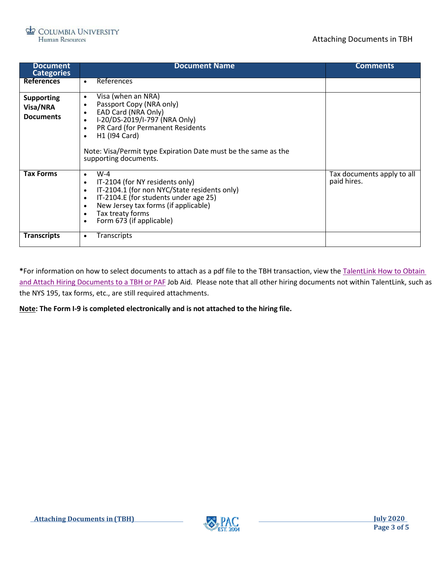

| <b>Document</b><br><b>Categories</b>              | <b>Document Name</b>                                                                                                                                                                                                                                                                                                   | <b>Comments</b>                           |  |  |  |
|---------------------------------------------------|------------------------------------------------------------------------------------------------------------------------------------------------------------------------------------------------------------------------------------------------------------------------------------------------------------------------|-------------------------------------------|--|--|--|
| <b>References</b>                                 | <b>References</b><br>$\bullet$                                                                                                                                                                                                                                                                                         |                                           |  |  |  |
| <b>Supporting</b><br>Visa/NRA<br><b>Documents</b> | Visa (when an NRA)<br>$\bullet$<br>Passport Copy (NRA only)<br>EAD Card (NRA Only)<br>I-20/DS-2019/I-797 (NRA Only)<br>$\bullet$<br>PR Card (for Permanent Residents<br>$\bullet$<br>H <sub>1</sub> (194 Card)<br>$\bullet$<br>Note: Visa/Permit type Expiration Date must be the same as the<br>supporting documents. |                                           |  |  |  |
| <b>Tax Forms</b>                                  | $W-4$<br>$\bullet$<br>IT-2104 (for NY residents only)<br>$\bullet$<br>IT-2104.1 (for non NYC/State residents only)<br>$\bullet$<br>IT-2104.E (for students under age 25)<br>$\bullet$<br>New Jersey tax forms (if applicable)<br>$\bullet$<br>Tax treaty forms<br>$\bullet$<br>Form 673 (if applicable)<br>$\bullet$   | Tax documents apply to all<br>paid hires. |  |  |  |
| <b>Transcripts</b>                                | <b>Transcripts</b><br>٠                                                                                                                                                                                                                                                                                                |                                           |  |  |  |

**\***For information on how to select documents to attach as a pdf file to the TBH transaction, view the [TalentLink How to Obtain](https://humanresources.columbia.edu/content/talentlink-how-obtain-and-attach-hiring-documents-tbh-or-paf)  [and Attach Hiring Documents to a TBH or PAF](https://humanresources.columbia.edu/content/talentlink-how-obtain-and-attach-hiring-documents-tbh-or-paf) Job Aid. Please note that all other hiring documents not within TalentLink, such as the NYS 195, tax forms, etc., are still required attachments.

**Note: The Form I-9 is completed electronically and is not attached to the hiring file.**

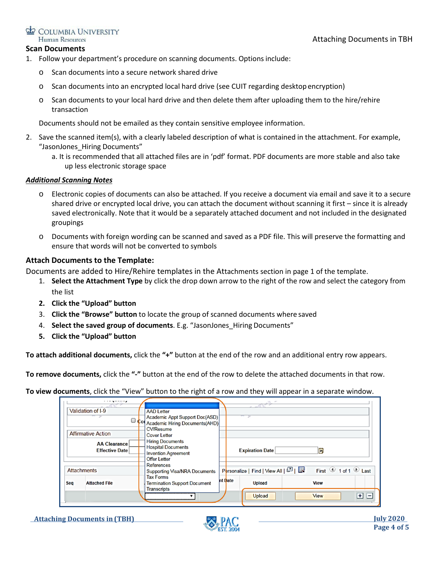### Attaching Documents in TBH

#### COLUMBIA UNIVERSITY Human Resources

### **Scan Documents**

- 1. Follow your department's procedure on scanning documents. Optionsinclude:
	- o Scan documents into a secure network shared drive
	- o Scan documents into an encrypted local hard drive (see CUIT regarding desktopencryption)
	- $\circ$  Scan documents to your local hard drive and then delete them after uploading them to the hire/rehire transaction

Documents should not be emailed as they contain sensitive employee information.

- 2. Save the scanned item(s), with a clearly labeled description of what is contained in the attachment. For example, "JasonJones\_Hiring Documents"
	- a. It is recommended that all attached files are in 'pdf' format. PDF documents are more stable and also take up less electronic storage space

### *Additional Scanning Notes*

- o Electronic copies of documents can also be attached. If you receive a document via email and save it to a secure shared drive or encrypted local drive, you can attach the document without scanning it first – since it is already saved electronically. Note that it would be a separately attached document and not included in the designated groupings
- o Documents with foreign wording can be scanned and saved as a PDF file. This will preserve the formatting and ensure that words will not be converted to symbols

### **Attach Documents to the Template:**

Documents are added to Hire/Rehire templates in the Attachments section in page 1 of the template.

- 1. **Select the Attachment Type** by click the drop down arrow to the right of the row and select the category from the list
- **2. Click the "Upload" button**
- 3. **Click the "Browse" button** to locate the group of scanned documents where saved
- 4. **Select the saved group of documents**. E.g. "JasonJones\_Hiring Documents"
- **5. Click the "Upload" button**

**To attach additional documents,** click the **"+"** button at the end of the row and an additional entry row appears.

**To remove documents,** click the **"-"** button at the end of the row to delete the attached documents in that row.

**To view documents**, click the "View" button to the right of a row and they will appear in a separate window.

|     | Validation of I-9                            | <b>AAD</b> Letter<br>Academic Appt Support Doc(ASD)<br>Col Academic Hiring Documents (AHD)                              |         |                                   |             |                                         |     |  |
|-----|----------------------------------------------|-------------------------------------------------------------------------------------------------------------------------|---------|-----------------------------------|-------------|-----------------------------------------|-----|--|
|     | <b>Affirmative Action</b>                    | <b>CV/Resume</b><br><b>Cover Letter</b>                                                                                 |         |                                   |             |                                         |     |  |
|     | <b>AA Clearance</b><br><b>Effective Date</b> | <b>Hiring Documents</b><br><b>Hospital Documents</b><br><b>Invention Agreement</b><br><b>Offer Letter</b><br>References |         | <b>Expiration Date</b>            | E           |                                         |     |  |
|     | <b>Attachments</b>                           | <b>Supporting Visa/NRA Documents</b>                                                                                    |         | Personalize   Find   View All   2 |             | First $\bigcirc$ 1 of 1 $\bigcirc$ Last |     |  |
| Seq | <b>Attached File</b>                         | <b>Tax Forms</b><br><b>Termination Support Document</b><br><b>Transcripts</b>                                           | nt Date | <b>Upload</b>                     | <b>View</b> |                                         |     |  |
|     |                                              |                                                                                                                         |         | <b>Upload</b>                     | <b>View</b> |                                         | ⊞ ⊫ |  |

**Attaching Documents in (TBH) July 2020**